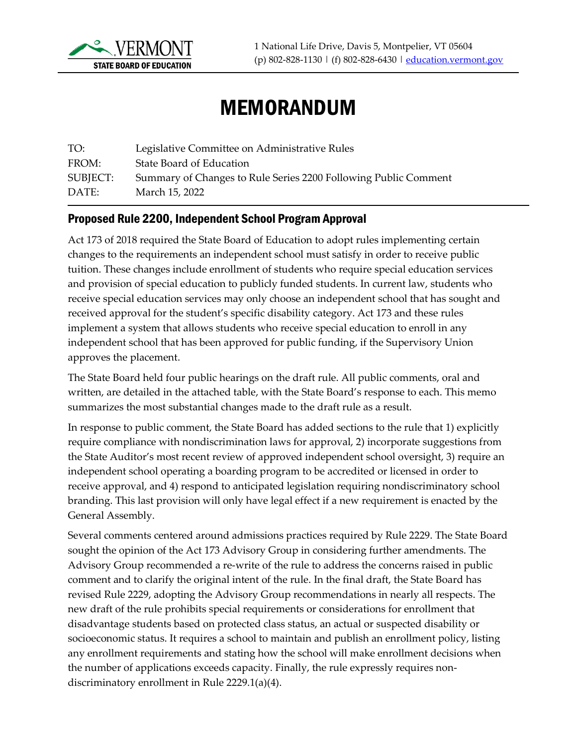

## MEMORANDUM

| TO:      | Legislative Committee on Administrative Rules                   |
|----------|-----------------------------------------------------------------|
| FROM:    | State Board of Education                                        |
| SUBJECT: | Summary of Changes to Rule Series 2200 Following Public Comment |
| DATE:    | March 15, 2022                                                  |

## Proposed Rule 2200, Independent School Program Approval

Act 173 of 2018 required the State Board of Education to adopt rules implementing certain changes to the requirements an independent school must satisfy in order to receive public tuition. These changes include enrollment of students who require special education services and provision of special education to publicly funded students. In current law, students who receive special education services may only choose an independent school that has sought and received approval for the student's specific disability category. Act 173 and these rules implement a system that allows students who receive special education to enroll in any independent school that has been approved for public funding, if the Supervisory Union approves the placement.

The State Board held four public hearings on the draft rule. All public comments, oral and written, are detailed in the attached table, with the State Board's response to each. This memo summarizes the most substantial changes made to the draft rule as a result.

In response to public comment, the State Board has added sections to the rule that 1) explicitly require compliance with nondiscrimination laws for approval, 2) incorporate suggestions from the State Auditor's most recent review of approved independent school oversight, 3) require an independent school operating a boarding program to be accredited or licensed in order to receive approval, and 4) respond to anticipated legislation requiring nondiscriminatory school branding. This last provision will only have legal effect if a new requirement is enacted by the General Assembly.

Several comments centered around admissions practices required by Rule 2229. The State Board sought the opinion of the Act 173 Advisory Group in considering further amendments. The Advisory Group recommended a re-write of the rule to address the concerns raised in public comment and to clarify the original intent of the rule. In the final draft, the State Board has revised Rule 2229, adopting the Advisory Group recommendations in nearly all respects. The new draft of the rule prohibits special requirements or considerations for enrollment that disadvantage students based on protected class status, an actual or suspected disability or socioeconomic status. It requires a school to maintain and publish an enrollment policy, listing any enrollment requirements and stating how the school will make enrollment decisions when the number of applications exceeds capacity. Finally, the rule expressly requires nondiscriminatory enrollment in Rule 2229.1(a)(4).